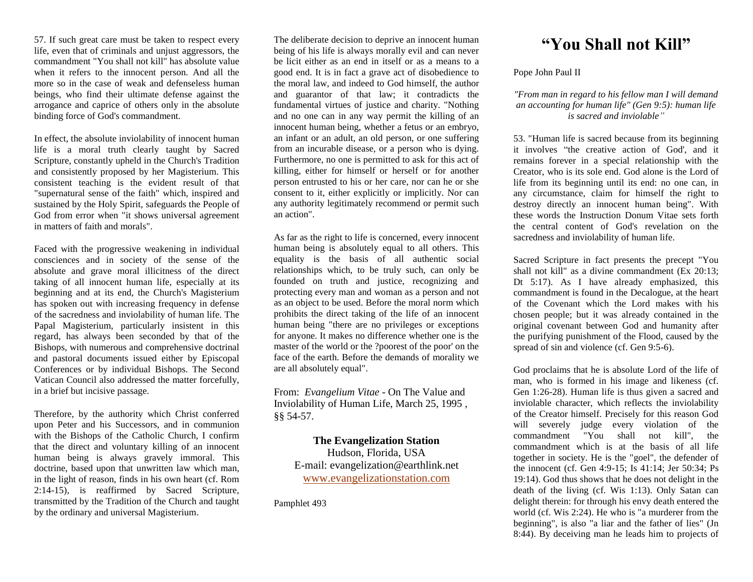57. If such great care must be taken to respect every life, even that of criminals and unjust aggressors, the commandment "You shall not kill" has absolute value when it refers to the innocent person. And all the more so in the case of weak and defenseless human beings, who find their ultimate defense against the arrogance and caprice of others only in the absolute binding force of God's commandment.

In effect, the absolute inviolability of innocent human life is a moral truth clearly taught by Sacred Scripture, constantly upheld in the Church's Tradition and consistently proposed by her Magisterium. This consistent teaching is the evident result of that "supernatural sense of the faith" which, inspired and sustained by the Holy Spirit, safeguards the People of God from error when "it shows universal agreement in matters of faith and morals".

Faced with the progressive weakening in individual consciences and in society of the sense of the absolute and grave moral illicitness of the direct taking of all innocent human life, especially at its beginning and at its end, the Church's Magisterium has spoken out with increasing frequency in defense of the sacredness and inviolability of human life. The Papal Magisterium, particularly insistent in this regard, has always been seconded by that of the Bishops, with numerous and comprehensive doctrinal and pastoral documents issued either by Episcopal Conferences or by individual Bishops. The Second Vatican Council also addressed the matter forcefully, in a brief but incisive passage.

Therefore, by the authority which Christ conferred upon Peter and his Successors, and in communion with the Bishops of the Catholic Church, I confirm that the direct and voluntary killing of an innocent human being is always gravely immoral. This doctrine, based upon that unwritten law which man, in the light of reason, finds in his own heart (cf. Rom 2:14-15), is reaffirmed by Sacred Scripture, transmitted by the Tradition of the Church and taught by the ordinary and universal Magisterium.

The deliberate decision to deprive an innocent human being of his life is always morally evil and can never be licit either as an end in itself or as a means to a good end. It is in fact a grave act of disobedience to the moral law, and indeed to God himself, the author and guarantor of that law; it contradicts the fundamental virtues of justice and charity. "Nothing and no one can in any way permit the killing of an innocent human being, whether a fetus or an embryo, an infant or an adult, an old person, or one suffering from an incurable disease, or a person who is dying. Furthermore, no one is permitted to ask for this act of killing, either for himself or herself or for another person entrusted to his or her care, nor can he or she consent to it, either explicitly or implicitly. Nor can any authority legitimately recommend or permit such an action".

As far as the right to life is concerned, every innocent human being is absolutely equal to all others. This equality is the basis of all authentic social relationships which, to be truly such, can only be founded on truth and justice, recognizing and protecting every man and woman as a person and not as an object to be used. Before the moral norm which prohibits the direct taking of the life of an innocent human being "there are no privileges or exceptions for anyone. It makes no difference whether one is the master of the world or the ?poorest of the poor' on the face of the earth. Before the demands of morality we are all absolutely equal".

From: *[Evangelium Vitae](http://www.victorclaveau.com/htm_html/Church%20Documents/Church%20Documents/Evangelium%20Vitae.htm)* - [On The Value and](http://www.victorclaveau.com/htm_html/Church%20Documents/Church%20Documents/Evangelium%20Vitae.htm)  Inviolability of Human Life, March 25, 1995 *,*  §§ 54-57.

> **The Evangelization Station** Hudson, Florida, USA E-mail: evangelization@earthlink.net [www.evangelizationstation.com](http://www.pjpiisoe.org/)

Pamphlet 493

## **"You Shall not Kill"**

## Pope John Paul II

## *"From man in regard to his fellow man I will demand an accounting for human life" (Gen 9:5): human life is sacred and inviolable"*

53. "Human life is sacred because from its beginning it involves "the creative action of God', and it remains forever in a special relationship with the Creator, who is its sole end. God alone is the Lord of life from its beginning until its end: no one can, in any circumstance, claim for himself the right to destroy directly an innocent human being". With these words the Instruction Donum Vitae sets forth the central content of God's revelation on the sacredness and inviolability of human life.

Sacred Scripture in fact presents the precept "You shall not kill" as a divine commandment (Ex 20:13; Dt 5:17). As I have already emphasized, this commandment is found in the Decalogue, at the heart of the Covenant which the Lord makes with his chosen people; but it was already contained in the original covenant between God and humanity after the purifying punishment of the Flood, caused by the spread of sin and violence (cf. Gen 9:5-6).

God proclaims that he is absolute Lord of the life of man, who is formed in his image and likeness (cf. Gen 1:26-28). Human life is thus given a sacred and inviolable character, which reflects the inviolability of the Creator himself. Precisely for this reason God will severely judge every violation of the commandment "You shall not kill", the commandment which is at the basis of all life together in society. He is the "goel", the defender of the innocent (cf. Gen 4:9-15; Is 41:14; Jer 50:34; Ps 19:14). God thus shows that he does not delight in the death of the living (cf. Wis 1:13). Only Satan can delight therein: for through his envy death entered the world (cf. Wis 2:24). He who is "a murderer from the beginning", is also "a liar and the father of lies" (Jn 8:44). By deceiving man he leads him to projects of